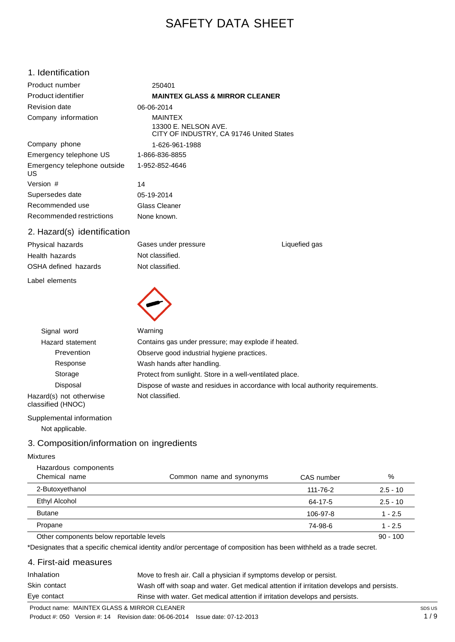# SAFETY DATA SHEET

### 1. Identification

1159 Gleme Glass Cleaner **MAINTEX GLASS & MIRROR CLEANER MAINTEX** MAINTEX<br>13300 E. NELSON AVE. CITY OF INDUSTRY, CA 91746 United States Product number Product identifier 250401 Revision date 06-06-2014 Company information Company phone 1-626-961-1988 Emergency telephone US 1-866-836-8855 Emergency telephone outside US 1-952-852-4646 Version # 14 Supersedes date 05-19-2014 Recommended use Glass Cleaner Recommended restrictions None known.

Gases under pressure

Not classified. Not classified.

### 2. Hazard(s) identification

Physical hazards Health hazards OSHA defined hazards

Label elements



Signal word Warning Hazard statement Contains gas under pressure; may explode if heated. Prevention Observe good industrial hygiene practices. Response Wash hands after handling. Storage **Protect from sunlight.** Store in a well-ventilated place. Disposal Dispose of waste and residues in accordance with local authority requirements. Not classified.

Liquefied gas

Supplemental information Not applicable.

Hazard(s) not otherwise classified (HNOC)

## 3. Composition/information on ingredients

#### Mixtures

| Hazardous components<br>Chemical name | Common name and synonyms | CAS number | %          |
|---------------------------------------|--------------------------|------------|------------|
| 2-Butoxyethanol                       |                          | 111-76-2   | $2.5 - 10$ |
| Ethyl Alcohol                         |                          | 64-17-5    | $2.5 - 10$ |
| <b>Butane</b>                         |                          | 106-97-8   | $1 - 2.5$  |
| Propane                               |                          | 74-98-6    | $1 - 2.5$  |
| $ -$                                  | .                        |            |            |

Other components below reportable levels 80 - 100  $\sigma$  100  $\sigma$  90 - 100  $\sigma$  90 - 100  $\sigma$ 

\*Designates that a specific chemical identity and/or percentage of composition has been withheld as a trade secret.

## 4. First-aid measures

| Inhalation   | Move to fresh air. Call a physician if symptoms develop or persist.                      |
|--------------|------------------------------------------------------------------------------------------|
| Skin contact | Wash off with soap and water. Get medical attention if irritation develops and persists. |
| Eye contact  | Rinse with water. Get medical attention if irritation develops and persists.             |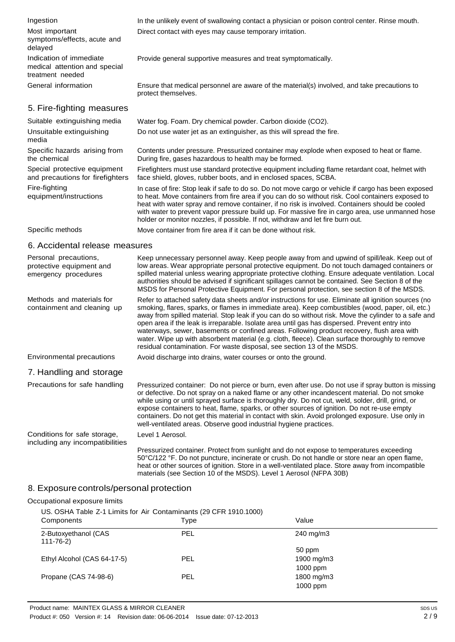| Ingestion                                                                    | In the unlikely event of swallowing contact a physician or poison control center. Rinse mouth.                                                                                                                                                                                                                                                                                                                  |
|------------------------------------------------------------------------------|-----------------------------------------------------------------------------------------------------------------------------------------------------------------------------------------------------------------------------------------------------------------------------------------------------------------------------------------------------------------------------------------------------------------|
| Most important<br>symptoms/effects, acute and<br>delayed                     | Direct contact with eyes may cause temporary irritation.                                                                                                                                                                                                                                                                                                                                                        |
| Indication of immediate<br>medical attention and special<br>treatment needed | Provide general supportive measures and treat symptomatically.                                                                                                                                                                                                                                                                                                                                                  |
| General information                                                          | Ensure that medical personnel are aware of the material(s) involved, and take precautions to<br>protect themselves.                                                                                                                                                                                                                                                                                             |
| 5. Fire-fighting measures                                                    |                                                                                                                                                                                                                                                                                                                                                                                                                 |
| Suitable extinguishing media                                                 | Water fog. Foam. Dry chemical powder. Carbon dioxide (CO2).                                                                                                                                                                                                                                                                                                                                                     |
| Unsuitable extinguishing<br>media                                            | Do not use water jet as an extinguisher, as this will spread the fire.                                                                                                                                                                                                                                                                                                                                          |
| Specific hazards arising from<br>the chemical                                | Contents under pressure. Pressurized container may explode when exposed to heat or flame.<br>During fire, gases hazardous to health may be formed.                                                                                                                                                                                                                                                              |
| Special protective equipment<br>and precautions for firefighters             | Firefighters must use standard protective equipment including flame retardant coat, helmet with<br>face shield, gloves, rubber boots, and in enclosed spaces, SCBA.                                                                                                                                                                                                                                             |
| Fire-fighting<br>equipment/instructions                                      | In case of fire: Stop leak if safe to do so. Do not move cargo or vehicle if cargo has been exposed<br>to heat. Move containers from fire area if you can do so without risk. Cool containers exposed to<br>heat with water spray and remove container, if no risk is involved. Containers should be cooled<br>with water to prevent vapor pressure build up. For massive fire in cargo area, use unmanned hose |

Specific methods Move container from fire area if it can be done without risk.

holder or monitor nozzles, if possible. If not, withdraw and let fire burn out.

### 6. Accidental release measures

| Personal precautions,<br>protective equipment and<br>emergency procedures | Keep unnecessary personnel away. Keep people away from and upwind of spill/leak. Keep out of<br>low areas. Wear appropriate personal protective equipment. Do not touch damaged containers or<br>spilled material unless wearing appropriate protective clothing. Ensure adequate ventilation. Local<br>authorities should be advised if significant spillages cannot be contained. See Section 8 of the<br>MSDS for Personal Protective Equipment. For personal protection, see section 8 of the MSDS.                                                                                                                                                                                         |  |  |
|---------------------------------------------------------------------------|-------------------------------------------------------------------------------------------------------------------------------------------------------------------------------------------------------------------------------------------------------------------------------------------------------------------------------------------------------------------------------------------------------------------------------------------------------------------------------------------------------------------------------------------------------------------------------------------------------------------------------------------------------------------------------------------------|--|--|
| Methods and materials for<br>containment and cleaning up                  | Refer to attached safety data sheets and/or instructions for use. Eliminate all ignition sources (no<br>smoking, flares, sparks, or flames in immediate area). Keep combustibles (wood, paper, oil, etc.)<br>away from spilled material. Stop leak if you can do so without risk. Move the cylinder to a safe and<br>open area if the leak is irreparable. Isolate area until gas has dispersed. Prevent entry into<br>waterways, sewer, basements or confined areas. Following product recovery, flush area with<br>water. Wipe up with absorbent material (e.g. cloth, fleece). Clean surface thoroughly to remove<br>residual contamination. For waste disposal, see section 13 of the MSDS. |  |  |
| Environmental precautions                                                 | Avoid discharge into drains, water courses or onto the ground.                                                                                                                                                                                                                                                                                                                                                                                                                                                                                                                                                                                                                                  |  |  |
| 7. Handling and storage                                                   |                                                                                                                                                                                                                                                                                                                                                                                                                                                                                                                                                                                                                                                                                                 |  |  |
| Precautions for safe handling                                             | Pressurized container: Do not pierce or burn, even after use. Do not use if spray button is missing<br>or defective. Do not spray on a naked flame or any other incandescent material. Do not smoke<br>while using or until sprayed surface is thoroughly dry. Do not cut, weld, solder, drill, grind, or<br>expose containers to heat, flame, sparks, or other sources of ignition. Do not re-use empty<br>containers. Do not get this material in contact with skin. Avoid prolonged exposure. Use only in<br>well-ventilated areas. Observe good industrial hygiene practices.                                                                                                               |  |  |
| Conditions for safe storage,<br>including any incompatibilities           | Level 1 Aerosol.                                                                                                                                                                                                                                                                                                                                                                                                                                                                                                                                                                                                                                                                                |  |  |
|                                                                           | Pressurized container. Protect from sunlight and do not expose to temperatures exceeding<br>50°C/122 °F. Do not puncture, incinerate or crush. Do not handle or store near an open flame,<br>heat or other sources of ignition. Store in a well-ventilated place. Store away from incompatible                                                                                                                                                                                                                                                                                                                                                                                                  |  |  |

### 8. Exposure controls/personal protection

#### Occupational exposure limits

| US. OSHA Table Z-1 Limits for Air Contaminants (29 CFR 1910.1000)<br>Value<br>Type |
|------------------------------------------------------------------------------------|
| $240 \text{ mg/m}$                                                                 |
| 50 ppm                                                                             |
| 1900 mg/m3                                                                         |
| $1000$ ppm                                                                         |
| 1800 mg/m3                                                                         |
| $1000$ ppm                                                                         |
| PEL<br><b>PEL</b><br><b>PEL</b>                                                    |

materials (see Section 10 of the MSDS). Level 1 Aerosol (NFPA 30B)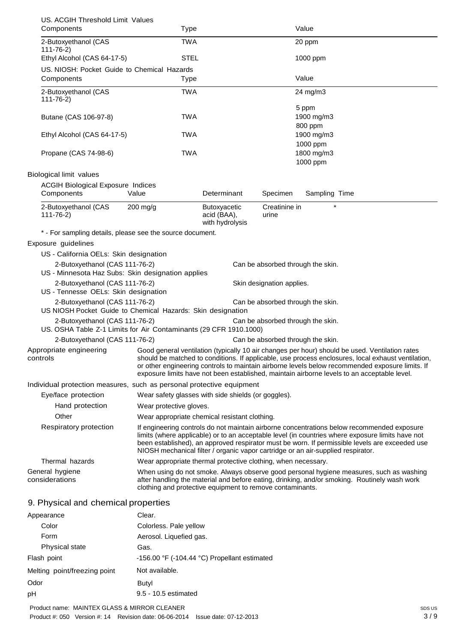| US. ACGIH Threshold Limit Values                                                                    |                                                               |                                                |                           |                                                                                                                                                                                                                                                                                                                                                                                                        |
|-----------------------------------------------------------------------------------------------------|---------------------------------------------------------------|------------------------------------------------|---------------------------|--------------------------------------------------------------------------------------------------------------------------------------------------------------------------------------------------------------------------------------------------------------------------------------------------------------------------------------------------------------------------------------------------------|
| Components                                                                                          | Type                                                          |                                                |                           | Value                                                                                                                                                                                                                                                                                                                                                                                                  |
| 2-Butoxyethanol (CAS<br>$111 - 76 - 2$                                                              | <b>TWA</b>                                                    |                                                |                           | 20 ppm                                                                                                                                                                                                                                                                                                                                                                                                 |
| Ethyl Alcohol (CAS 64-17-5)                                                                         | <b>STEL</b>                                                   |                                                |                           | 1000 ppm                                                                                                                                                                                                                                                                                                                                                                                               |
| US. NIOSH: Pocket Guide to Chemical Hazards                                                         |                                                               |                                                |                           |                                                                                                                                                                                                                                                                                                                                                                                                        |
| Components                                                                                          | Type                                                          |                                                |                           | Value                                                                                                                                                                                                                                                                                                                                                                                                  |
| 2-Butoxyethanol (CAS<br>$111 - 76 - 2$                                                              | <b>TWA</b>                                                    |                                                |                           | 24 mg/m3                                                                                                                                                                                                                                                                                                                                                                                               |
| Butane (CAS 106-97-8)                                                                               | <b>TWA</b>                                                    |                                                |                           | 5 ppm<br>1900 mg/m3<br>800 ppm                                                                                                                                                                                                                                                                                                                                                                         |
| Ethyl Alcohol (CAS 64-17-5)                                                                         | TWA                                                           |                                                |                           | 1900 mg/m3<br>1000 ppm                                                                                                                                                                                                                                                                                                                                                                                 |
| Propane (CAS 74-98-6)                                                                               | <b>TWA</b>                                                    |                                                |                           | 1800 mg/m3<br>1000 ppm                                                                                                                                                                                                                                                                                                                                                                                 |
| <b>Biological limit values</b>                                                                      |                                                               |                                                |                           |                                                                                                                                                                                                                                                                                                                                                                                                        |
| <b>ACGIH Biological Exposure Indices</b><br>Components                                              | Value                                                         | Determinant                                    | Specimen                  | Sampling Time                                                                                                                                                                                                                                                                                                                                                                                          |
| 2-Butoxyethanol (CAS<br>$111 - 76 - 2$                                                              | $200$ mg/g                                                    | Butoxyacetic<br>acid (BAA),<br>with hydrolysis | Creatinine in<br>urine    |                                                                                                                                                                                                                                                                                                                                                                                                        |
| * - For sampling details, please see the source document.                                           |                                                               |                                                |                           |                                                                                                                                                                                                                                                                                                                                                                                                        |
| Exposure guidelines                                                                                 |                                                               |                                                |                           |                                                                                                                                                                                                                                                                                                                                                                                                        |
| US - California OELs: Skin designation                                                              |                                                               |                                                |                           |                                                                                                                                                                                                                                                                                                                                                                                                        |
| 2-Butoxyethanol (CAS 111-76-2)<br>US - Minnesota Haz Subs: Skin designation applies                 |                                                               |                                                |                           | Can be absorbed through the skin.                                                                                                                                                                                                                                                                                                                                                                      |
| 2-Butoxyethanol (CAS 111-76-2)                                                                      |                                                               |                                                | Skin designation applies. |                                                                                                                                                                                                                                                                                                                                                                                                        |
| US - Tennesse OELs: Skin designation                                                                |                                                               |                                                |                           |                                                                                                                                                                                                                                                                                                                                                                                                        |
| 2-Butoxyethanol (CAS 111-76-2)<br>US NIOSH Pocket Guide to Chemical Hazards: Skin designation       |                                                               |                                                |                           | Can be absorbed through the skin.                                                                                                                                                                                                                                                                                                                                                                      |
| 2-Butoxyethanol (CAS 111-76-2)<br>US. OSHA Table Z-1 Limits for Air Contaminants (29 CFR 1910.1000) |                                                               |                                                |                           | Can be absorbed through the skin.                                                                                                                                                                                                                                                                                                                                                                      |
| 2-Butoxyethanol (CAS 111-76-2)                                                                      |                                                               |                                                |                           | Can be absorbed through the skin.                                                                                                                                                                                                                                                                                                                                                                      |
| Appropriate engineering<br>controls                                                                 |                                                               |                                                |                           | Good general ventilation (typically 10 air changes per hour) should be used. Ventilation rates<br>should be matched to conditions. If applicable, use process enclosures, local exhaust ventilation,<br>or other engineering controls to maintain airborne levels below recommended exposure limits. If<br>exposure limits have not been established, maintain airborne levels to an acceptable level. |
| Individual protection measures, such as personal protective equipment                               |                                                               |                                                |                           |                                                                                                                                                                                                                                                                                                                                                                                                        |
| Eye/face protection                                                                                 | Wear safety glasses with side shields (or goggles).           |                                                |                           |                                                                                                                                                                                                                                                                                                                                                                                                        |
| Hand protection                                                                                     | Wear protective gloves.                                       |                                                |                           |                                                                                                                                                                                                                                                                                                                                                                                                        |
| Other                                                                                               | Wear appropriate chemical resistant clothing.                 |                                                |                           |                                                                                                                                                                                                                                                                                                                                                                                                        |
| Respiratory protection                                                                              |                                                               |                                                |                           | If engineering controls do not maintain airborne concentrations below recommended exposure<br>limits (where applicable) or to an acceptable level (in countries where exposure limits have not<br>been established), an approved respirator must be worn. If permissible levels are exceeded use<br>NIOSH mechanical filter / organic vapor cartridge or an air-supplied respirator.                   |
| Thermal hazards                                                                                     | Wear appropriate thermal protective clothing, when necessary. |                                                |                           |                                                                                                                                                                                                                                                                                                                                                                                                        |
| General hygiene<br>considerations                                                                   | clothing and protective equipment to remove contaminants.     |                                                |                           | When using do not smoke. Always observe good personal hygiene measures, such as washing<br>after handling the material and before eating, drinking, and/or smoking. Routinely wash work                                                                                                                                                                                                                |
| 9. Physical and chemical properties                                                                 |                                                               |                                                |                           |                                                                                                                                                                                                                                                                                                                                                                                                        |
| Appearance                                                                                          | Clear.                                                        |                                                |                           |                                                                                                                                                                                                                                                                                                                                                                                                        |
| Color                                                                                               | Colorless. Pale yellow                                        |                                                |                           |                                                                                                                                                                                                                                                                                                                                                                                                        |
| Form                                                                                                | Aerosol. Liquefied gas.                                       |                                                |                           |                                                                                                                                                                                                                                                                                                                                                                                                        |
| <b>Physical state</b>                                                                               | Gas.                                                          |                                                |                           |                                                                                                                                                                                                                                                                                                                                                                                                        |
| Flash point                                                                                         | -156.00 °F (-104.44 °C) Propellant estimated                  |                                                |                           |                                                                                                                                                                                                                                                                                                                                                                                                        |

Odor Butyl pH 9.5 - 10.5 estimated

Melting point/freezing point Not available.

Product name: MAINTEX GLASS & MIRROR CLEANER Product #: 050 Version #: 14 Revision date: 06-06-2014 Issue date: 07-12-2013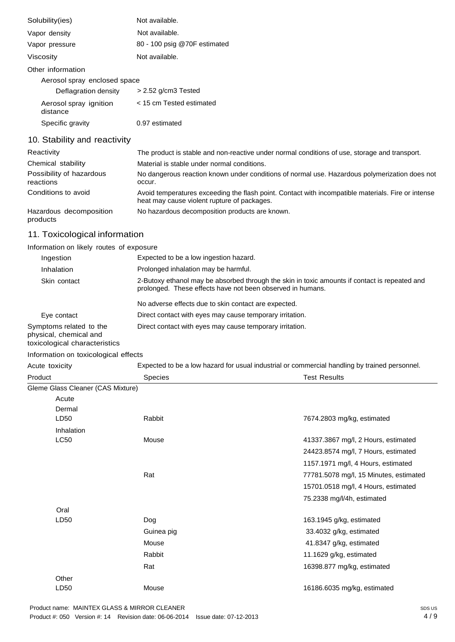| Solubility(ies)                    | Not available.               |
|------------------------------------|------------------------------|
| Vapor density                      | Not available.               |
| Vapor pressure                     | 80 - 100 psig @70F estimated |
| Viscosity                          | Not available.               |
| Other information                  |                              |
| Aerosol spray enclosed space       |                              |
| Deflagration density               | $> 2.52$ g/cm3 Tested        |
| Aerosol spray ignition<br>distance | < 15 cm Tested estimated     |
| Specific gravity                   | 0.97 estimated               |
| 10. Stability and reactivity       |                              |

| Reactivity                            | The product is stable and non-reactive under normal conditions of use, storage and transport.                                                     |  |  |
|---------------------------------------|---------------------------------------------------------------------------------------------------------------------------------------------------|--|--|
| Chemical stability                    | Material is stable under normal conditions.                                                                                                       |  |  |
| Possibility of hazardous<br>reactions | No dangerous reaction known under conditions of normal use. Hazardous polymerization does not<br>occur.                                           |  |  |
| Conditions to avoid                   | Avoid temperatures exceeding the flash point. Contact with incompatible materials. Fire or intense<br>heat may cause violent rupture of packages. |  |  |
| Hazardous decomposition<br>products   | No hazardous decomposition products are known.                                                                                                    |  |  |

# 11. Toxicological information

Information on likely routes of exposure

| Ingestion                                                                          | Expected to be a low ingestion hazard.                                                                                                                      |
|------------------------------------------------------------------------------------|-------------------------------------------------------------------------------------------------------------------------------------------------------------|
| Inhalation                                                                         | Prolonged inhalation may be harmful.                                                                                                                        |
| Skin contact                                                                       | 2-Butoxy ethanol may be absorbed through the skin in toxic amounts if contact is repeated and<br>prolonged. These effects have not been observed in humans. |
|                                                                                    | No adverse effects due to skin contact are expected.                                                                                                        |
| Eye contact                                                                        | Direct contact with eyes may cause temporary irritation.                                                                                                    |
| Symptoms related to the<br>physical, chemical and<br>toxicological characteristics | Direct contact with eyes may cause temporary irritation.                                                                                                    |

### Information on toxicological effects

| Acute toxicity                    | Expected to be a low hazard for usual industrial or commercial handling by trained personnel. |                                        |
|-----------------------------------|-----------------------------------------------------------------------------------------------|----------------------------------------|
| Product                           | <b>Species</b>                                                                                | <b>Test Results</b>                    |
| Gleme Glass Cleaner (CAS Mixture) |                                                                                               |                                        |
| Acute                             |                                                                                               |                                        |
| Dermal                            |                                                                                               |                                        |
| LD <sub>50</sub>                  | Rabbit                                                                                        | 7674.2803 mg/kg, estimated             |
| Inhalation                        |                                                                                               |                                        |
| LC50                              | Mouse                                                                                         | 41337.3867 mg/l, 2 Hours, estimated    |
|                                   |                                                                                               | 24423.8574 mg/l, 7 Hours, estimated    |
|                                   |                                                                                               | 1157.1971 mg/l, 4 Hours, estimated     |
|                                   | Rat                                                                                           | 77781.5078 mg/l, 15 Minutes, estimated |
|                                   |                                                                                               | 15701.0518 mg/l, 4 Hours, estimated    |
|                                   |                                                                                               | 75.2338 mg/l/4h, estimated             |
| Oral                              |                                                                                               |                                        |
| LD50                              | Dog                                                                                           | 163.1945 g/kg, estimated               |
|                                   | Guinea pig                                                                                    | 33.4032 g/kg, estimated                |
|                                   | Mouse                                                                                         | 41.8347 g/kg, estimated                |
|                                   | Rabbit                                                                                        | 11.1629 g/kg, estimated                |
|                                   | Rat                                                                                           | 16398.877 mg/kg, estimated             |
| Other                             |                                                                                               |                                        |
| LD50                              | Mouse                                                                                         | 16186.6035 mg/kg, estimated            |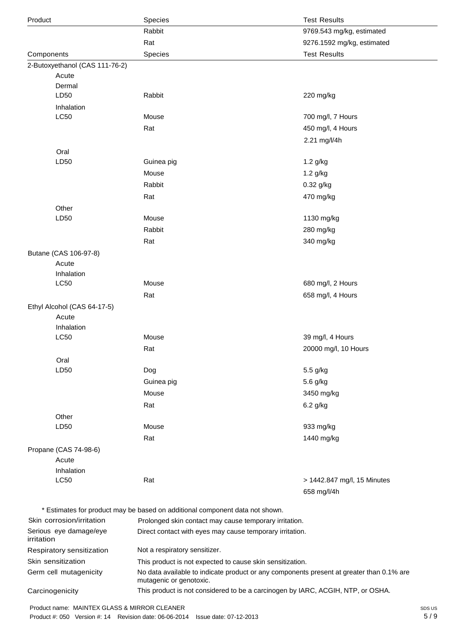| Product                              | Species                                                                                                             | <b>Test Results</b>                                      |  |
|--------------------------------------|---------------------------------------------------------------------------------------------------------------------|----------------------------------------------------------|--|
|                                      | Rabbit                                                                                                              | 9769.543 mg/kg, estimated                                |  |
|                                      | Rat                                                                                                                 | 9276.1592 mg/kg, estimated                               |  |
| Components                           | Species                                                                                                             | <b>Test Results</b>                                      |  |
| 2-Butoxyethanol (CAS 111-76-2)       |                                                                                                                     |                                                          |  |
| Acute                                |                                                                                                                     |                                                          |  |
| Dermal                               |                                                                                                                     |                                                          |  |
| LD50                                 | Rabbit                                                                                                              | 220 mg/kg                                                |  |
| Inhalation                           |                                                                                                                     |                                                          |  |
| <b>LC50</b>                          | Mouse                                                                                                               | 700 mg/l, 7 Hours                                        |  |
|                                      | Rat                                                                                                                 | 450 mg/l, 4 Hours                                        |  |
|                                      |                                                                                                                     | 2.21 mg/l/4h                                             |  |
| Oral<br>LD50                         |                                                                                                                     |                                                          |  |
|                                      | Guinea pig                                                                                                          | 1.2 g/kg                                                 |  |
|                                      | Mouse                                                                                                               | 1.2 g/kg                                                 |  |
|                                      | Rabbit                                                                                                              | 0.32 g/kg                                                |  |
|                                      | Rat                                                                                                                 | 470 mg/kg                                                |  |
| Other<br>LD50                        | Mouse                                                                                                               | 1130 mg/kg                                               |  |
|                                      | Rabbit                                                                                                              | 280 mg/kg                                                |  |
|                                      | Rat                                                                                                                 | 340 mg/kg                                                |  |
|                                      |                                                                                                                     |                                                          |  |
| Butane (CAS 106-97-8)<br>Acute       |                                                                                                                     |                                                          |  |
| Inhalation                           |                                                                                                                     |                                                          |  |
| LC50                                 | Mouse                                                                                                               | 680 mg/l, 2 Hours                                        |  |
|                                      | Rat                                                                                                                 | 658 mg/l, 4 Hours                                        |  |
| Ethyl Alcohol (CAS 64-17-5)          |                                                                                                                     |                                                          |  |
| Acute                                |                                                                                                                     |                                                          |  |
| Inhalation                           |                                                                                                                     |                                                          |  |
| LC50                                 | Mouse                                                                                                               | 39 mg/l, 4 Hours                                         |  |
|                                      | Rat                                                                                                                 | 20000 mg/l, 10 Hours                                     |  |
| Oral                                 |                                                                                                                     |                                                          |  |
| LD50                                 | Dog                                                                                                                 | 5.5 g/kg                                                 |  |
|                                      | Guinea pig                                                                                                          | 5.6 g/kg                                                 |  |
|                                      | Mouse                                                                                                               | 3450 mg/kg                                               |  |
|                                      | Rat                                                                                                                 | 6.2 g/kg                                                 |  |
| Other                                |                                                                                                                     |                                                          |  |
| LD50                                 | Mouse                                                                                                               | 933 mg/kg                                                |  |
|                                      | Rat                                                                                                                 | 1440 mg/kg                                               |  |
| Propane (CAS 74-98-6)                |                                                                                                                     |                                                          |  |
| Acute                                |                                                                                                                     |                                                          |  |
| Inhalation<br><b>LC50</b>            | Rat                                                                                                                 | > 1442.847 mg/l, 15 Minutes                              |  |
|                                      |                                                                                                                     | 658 mg/l/4h                                              |  |
|                                      |                                                                                                                     |                                                          |  |
|                                      | * Estimates for product may be based on additional component data not shown.                                        |                                                          |  |
| Skin corrosion/irritation            | Prolonged skin contact may cause temporary irritation.                                                              |                                                          |  |
| Serious eye damage/eye<br>irritation |                                                                                                                     | Direct contact with eyes may cause temporary irritation. |  |
| Respiratory sensitization            | Not a respiratory sensitizer.                                                                                       |                                                          |  |
| Skin sensitization                   | This product is not expected to cause skin sensitization.                                                           |                                                          |  |
| Germ cell mutagenicity               | No data available to indicate product or any components present at greater than 0.1% are<br>mutagenic or genotoxic. |                                                          |  |
| Carcinogenicity                      | This product is not considered to be a carcinogen by IARC, ACGIH, NTP, or OSHA.                                     |                                                          |  |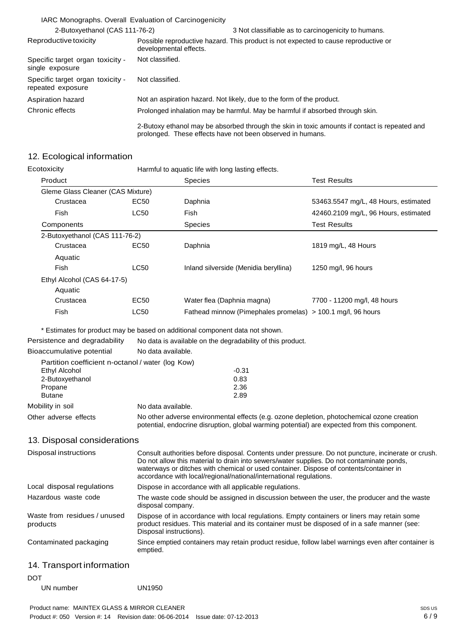|                                                       | IARC Monographs. Overall Evaluation of Carcinogenicity                        |                                                                                                                                                             |
|-------------------------------------------------------|-------------------------------------------------------------------------------|-------------------------------------------------------------------------------------------------------------------------------------------------------------|
| 2-Butoxyethanol (CAS 111-76-2)                        |                                                                               | 3 Not classifiable as to carcinogenicity to humans.                                                                                                         |
| Reproductive toxicity                                 | developmental effects.                                                        | Possible reproductive hazard. This product is not expected to cause reproductive or                                                                         |
| Specific target organ toxicity -<br>single exposure   | Not classified.                                                               |                                                                                                                                                             |
| Specific target organ toxicity -<br>repeated exposure | Not classified.                                                               |                                                                                                                                                             |
| Aspiration hazard                                     |                                                                               | Not an aspiration hazard. Not likely, due to the form of the product.                                                                                       |
| Chronic effects                                       | Prolonged inhalation may be harmful. May be harmful if absorbed through skin. |                                                                                                                                                             |
|                                                       |                                                                               | 2-Butoxy ethanol may be absorbed through the skin in toxic amounts if contact is repeated and<br>prolonged. These effects have not been observed in humans. |

### 12. Ecological information

| Ecotoxicity                       |                             | Harmful to aquatic life with long lasting effects. |                                                             |                                      |  |
|-----------------------------------|-----------------------------|----------------------------------------------------|-------------------------------------------------------------|--------------------------------------|--|
| Product                           |                             | <b>Species</b>                                     |                                                             | <b>Test Results</b>                  |  |
| Gleme Glass Cleaner (CAS Mixture) |                             |                                                    |                                                             |                                      |  |
| Crustacea                         | EC <sub>50</sub>            | Daphnia                                            |                                                             | 53463.5547 mg/L, 48 Hours, estimated |  |
| Fish                              | LC50                        | Fish                                               |                                                             | 42460.2109 mg/L, 96 Hours, estimated |  |
| Components                        |                             | <b>Species</b>                                     |                                                             | <b>Test Results</b>                  |  |
| 2-Butoxyethanol (CAS 111-76-2)    |                             |                                                    |                                                             |                                      |  |
| Crustacea                         | EC50                        | Daphnia                                            |                                                             | 1819 mg/L, 48 Hours                  |  |
| Aquatic                           |                             |                                                    |                                                             |                                      |  |
| Fish                              | LC50                        |                                                    | Inland silverside (Menidia beryllina)                       | 1250 mg/l, 96 hours                  |  |
|                                   | Ethyl Alcohol (CAS 64-17-5) |                                                    |                                                             |                                      |  |
| Aquatic                           |                             |                                                    |                                                             |                                      |  |
| Crustacea                         | EC50                        |                                                    | Water flea (Daphnia magna)                                  | 7700 - 11200 mg/l, 48 hours          |  |
| Fish                              | <b>LC50</b>                 |                                                    | Fathead minnow (Pimephales promelas) > 100.1 mg/l, 96 hours |                                      |  |

\* Estimates for product may be based on additional component data not shown.

|                                                   | Estimates for product may be based on additional component data not shown.                                                                                                                                                                                                                                                                                       |  |
|---------------------------------------------------|------------------------------------------------------------------------------------------------------------------------------------------------------------------------------------------------------------------------------------------------------------------------------------------------------------------------------------------------------------------|--|
| Persistence and degradability                     | No data is available on the degradability of this product.                                                                                                                                                                                                                                                                                                       |  |
| Bioaccumulative potential                         | No data available.                                                                                                                                                                                                                                                                                                                                               |  |
| Partition coefficient n-octanol / water (log Kow) |                                                                                                                                                                                                                                                                                                                                                                  |  |
| Ethyl Alcohol                                     | $-0.31$                                                                                                                                                                                                                                                                                                                                                          |  |
| 2-Butoxyethanol                                   | 0.83                                                                                                                                                                                                                                                                                                                                                             |  |
| Propane                                           | 2.36                                                                                                                                                                                                                                                                                                                                                             |  |
| <b>Butane</b>                                     | 2.89                                                                                                                                                                                                                                                                                                                                                             |  |
| Mobility in soil                                  | No data available.                                                                                                                                                                                                                                                                                                                                               |  |
| Other adverse effects                             | No other adverse environmental effects (e.g. ozone depletion, photochemical ozone creation<br>potential, endocrine disruption, global warming potential) are expected from this component.                                                                                                                                                                       |  |
| 13. Disposal considerations                       |                                                                                                                                                                                                                                                                                                                                                                  |  |
| Disposal instructions                             | Consult authorities before disposal. Contents under pressure. Do not puncture, incinerate or crush.<br>Do not allow this material to drain into sewers/water supplies. Do not contaminate ponds,<br>waterways or ditches with chemical or used container. Dispose of contents/container in<br>accordance with local/regional/national/international regulations. |  |
| Local disposal regulations                        | Dispose in accordance with all applicable regulations.                                                                                                                                                                                                                                                                                                           |  |
| Hazardous waste code                              | The waste code should be assigned in discussion between the user, the producer and the waste<br>disposal company.                                                                                                                                                                                                                                                |  |
| Waste from residues / unused<br>products          | Dispose of in accordance with local regulations. Empty containers or liners may retain some<br>product residues. This material and its container must be disposed of in a safe manner (see:<br>Disposal instructions).                                                                                                                                           |  |

Contaminated packaging Since emptied containers may retain product residue, follow label warnings even after container is emptied.

### 14. Transport information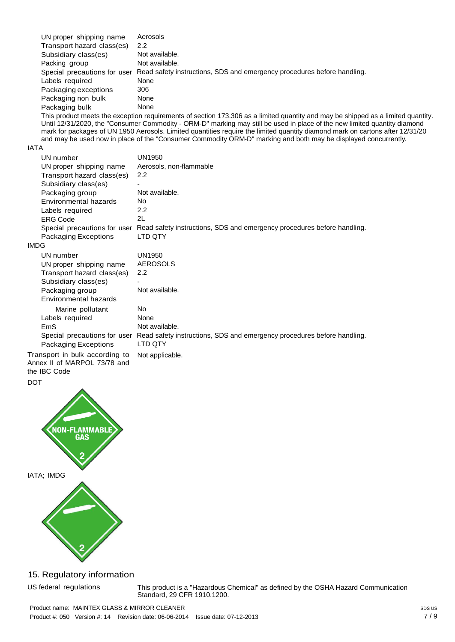| UN proper shipping name      | Aerosols                                                                |
|------------------------------|-------------------------------------------------------------------------|
| Transport hazard class(es)   | 2.2                                                                     |
| Subsidiary class(es)         | Not available.                                                          |
| Packing group                | Not available.                                                          |
| Special precautions for user | Read safety instructions, SDS and emergency procedures before handling. |
| Labels required              | None                                                                    |
| Packaging exceptions         | 306                                                                     |
| Packaging non bulk           | None                                                                    |
| Packaging bulk               | None                                                                    |

This product meets the exception requirements of section 173.306 as a limited quantity and may be shipped as a limited quantity. Until 12/31/2020, the "Consumer Commodity - ORM-D" marking may still be used in place of the new limited quantity diamond mark for packages of UN 1950 Aerosols. Limited quantities require the limited quantity diamond mark on cartons after 12/31/20 and may be used now in place of the "Consumer Commodity ORM-D" marking and both may be displayed concurrently.

#### IATA

| UN number                      | <b>UN1950</b>                                                                                        |
|--------------------------------|------------------------------------------------------------------------------------------------------|
| UN proper shipping name        | Aerosols, non-flammable                                                                              |
| Transport hazard class(es)     | 2.2                                                                                                  |
| Subsidiary class(es)           |                                                                                                      |
| Packaging group                | Not available.                                                                                       |
| Environmental hazards          | No.                                                                                                  |
| Labels required                | 2.2                                                                                                  |
| <b>ERG Code</b>                | 2L                                                                                                   |
|                                | Special precautions for user Read safety instructions, SDS and emergency procedures before handling. |
| Packaging Exceptions           | LTD QTY                                                                                              |
| IMDG                           |                                                                                                      |
| UN number                      | <b>UN1950</b>                                                                                        |
| UN proper shipping name        | <b>AEROSOLS</b>                                                                                      |
| Transport hazard class(es)     | 2.2                                                                                                  |
| Subsidiary class(es)           |                                                                                                      |
| Packaging group                | Not available.                                                                                       |
| Environmental hazards          |                                                                                                      |
| Marine pollutant               | <b>No</b>                                                                                            |
| Labels required                | None                                                                                                 |
| <b>EmS</b>                     | Not available.                                                                                       |
| Special precautions for user   | Read safety instructions, SDS and emergency procedures before handling.                              |
| Packaging Exceptions           | LTD QTY                                                                                              |
| Transport in bulk according to | Not applicable.                                                                                      |

Transport in bulk according to Annex II of MARPOL 73/78 and the IBC Code

# DOT



### 15. Regulatory information

US federal regulations This product is a "Hazardous Chemical" as defined by the OSHA Hazard Communication Standard, 29 CFR 1910.1200.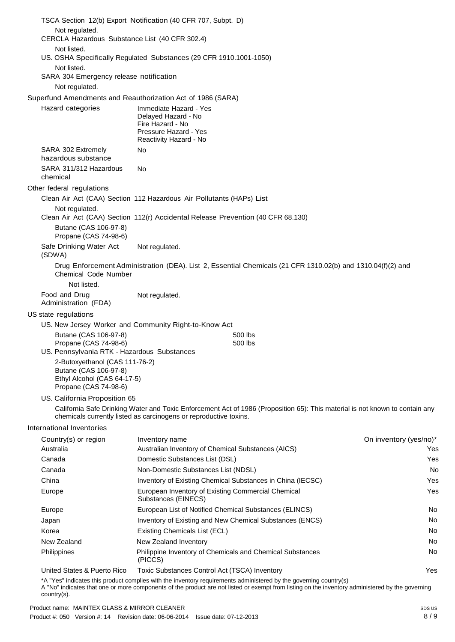| TSCA Section 12(b) Export Notification (40 CFR 707, Subpt. D)                 |                                                                                                                                                                                                   |                        |  |  |  |
|-------------------------------------------------------------------------------|---------------------------------------------------------------------------------------------------------------------------------------------------------------------------------------------------|------------------------|--|--|--|
| Not regulated.                                                                |                                                                                                                                                                                                   |                        |  |  |  |
| CERCLA Hazardous Substance List (40 CFR 302.4)                                |                                                                                                                                                                                                   |                        |  |  |  |
| Not listed.                                                                   | US. OSHA Specifically Regulated Substances (29 CFR 1910.1001-1050)                                                                                                                                |                        |  |  |  |
| Not listed.                                                                   |                                                                                                                                                                                                   |                        |  |  |  |
| SARA 304 Emergency release notification                                       |                                                                                                                                                                                                   |                        |  |  |  |
| Not regulated.                                                                |                                                                                                                                                                                                   |                        |  |  |  |
|                                                                               | Superfund Amendments and Reauthorization Act of 1986 (SARA)                                                                                                                                       |                        |  |  |  |
| Hazard categories                                                             | Immediate Hazard - Yes<br>Delayed Hazard - No<br>Fire Hazard - No<br>Pressure Hazard - Yes<br>Reactivity Hazard - No                                                                              |                        |  |  |  |
| SARA 302 Extremely<br>hazardous substance                                     | No                                                                                                                                                                                                |                        |  |  |  |
| SARA 311/312 Hazardous<br>chemical                                            | No.                                                                                                                                                                                               |                        |  |  |  |
| Other federal regulations                                                     |                                                                                                                                                                                                   |                        |  |  |  |
|                                                                               | Clean Air Act (CAA) Section 112 Hazardous Air Pollutants (HAPs) List                                                                                                                              |                        |  |  |  |
| Not regulated.                                                                | Clean Air Act (CAA) Section 112(r) Accidental Release Prevention (40 CFR 68.130)                                                                                                                  |                        |  |  |  |
| Butane (CAS 106-97-8)<br>Propane (CAS 74-98-6)                                |                                                                                                                                                                                                   |                        |  |  |  |
| Safe Drinking Water Act<br>(SDWA)                                             | Not regulated.                                                                                                                                                                                    |                        |  |  |  |
| Chemical Code Number                                                          | Drug Enforcement Administration (DEA). List 2, Essential Chemicals (21 CFR 1310.02(b) and 1310.04(f)(2) and                                                                                       |                        |  |  |  |
| Not listed.                                                                   |                                                                                                                                                                                                   |                        |  |  |  |
| Food and Drug                                                                 | Not regulated.                                                                                                                                                                                    |                        |  |  |  |
| Administration (FDA)<br>US state regulations                                  |                                                                                                                                                                                                   |                        |  |  |  |
|                                                                               | US. New Jersey Worker and Community Right-to-Know Act                                                                                                                                             |                        |  |  |  |
| Butane (CAS 106-97-8)                                                         | 500 lbs                                                                                                                                                                                           |                        |  |  |  |
| Propane (CAS 74-98-6)                                                         | 500 lbs                                                                                                                                                                                           |                        |  |  |  |
| US. Pennsylvania RTK - Hazardous Substances                                   |                                                                                                                                                                                                   |                        |  |  |  |
| 2-Butoxyethanol (CAS 111-76-2)                                                |                                                                                                                                                                                                   |                        |  |  |  |
| Butane (CAS 106-97-8)<br>Ethyl Alcohol (CAS 64-17-5)<br>Propane (CAS 74-98-6) |                                                                                                                                                                                                   |                        |  |  |  |
| US. California Proposition 65                                                 |                                                                                                                                                                                                   |                        |  |  |  |
|                                                                               | California Safe Drinking Water and Toxic Enforcement Act of 1986 (Proposition 65): This material is not known to contain any<br>chemicals currently listed as carcinogens or reproductive toxins. |                        |  |  |  |
| <b>International Inventories</b>                                              |                                                                                                                                                                                                   |                        |  |  |  |
| Country(s) or region                                                          | Inventory name                                                                                                                                                                                    | On inventory (yes/no)* |  |  |  |
| Australia                                                                     | Australian Inventory of Chemical Substances (AICS)                                                                                                                                                | Yes                    |  |  |  |
| Canada                                                                        | Domestic Substances List (DSL)                                                                                                                                                                    | Yes                    |  |  |  |
| Canada                                                                        | Non-Domestic Substances List (NDSL)                                                                                                                                                               | No                     |  |  |  |
| China                                                                         | Inventory of Existing Chemical Substances in China (IECSC)                                                                                                                                        | Yes                    |  |  |  |
| Europe                                                                        | European Inventory of Existing Commercial Chemical<br>Substances (EINECS)                                                                                                                         | Yes                    |  |  |  |
| Europe                                                                        | European List of Notified Chemical Substances (ELINCS)                                                                                                                                            | No.                    |  |  |  |
| Japan                                                                         | Inventory of Existing and New Chemical Substances (ENCS)                                                                                                                                          | No.                    |  |  |  |
| Korea                                                                         | <b>Existing Chemicals List (ECL)</b>                                                                                                                                                              | No.                    |  |  |  |
| New Zealand                                                                   | New Zealand Inventory                                                                                                                                                                             | No                     |  |  |  |
| Philippines                                                                   | Philippine Inventory of Chemicals and Chemical Substances<br>(PICCS)                                                                                                                              | No                     |  |  |  |
| United States & Puerto Rico                                                   | Toxic Substances Control Act (TSCA) Inventory<br>وللمتلوث ومراويها بملامر والمستحقق ويعاملون والسمائية والمتحدث والمتلوث والمتلقات والمتلقب                                                       | Yes                    |  |  |  |
|                                                                               |                                                                                                                                                                                                   |                        |  |  |  |

\*A "Yes" indicates this product complies with the inventory requirements administered by the governing country(s)

A "No" indicates that one or more components of the product are not listed or exempt from listing on the inventory administered by the governing country(s).